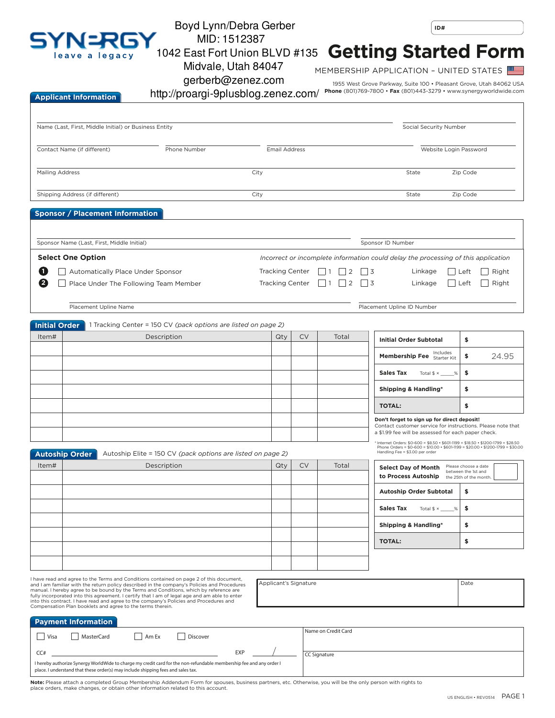

## Boyd Lynn/Debra Gerber MID: 1512387

Midvale, Utah 84047

**ID#**

## **Getting Started Form** 1042 East Fort Union BLVD #135

MEMBERSHIP APPLICATION – UNITED STATES

gerberb@zenez.com

1955 West Grove Parkway, Suite 100 • Pleasant Grove, Utah 84062 USA **Phone** (801)769-7800 • **Fax** (801)443-3279 • www.synergyworldwide.com

| <b>Applicant Information</b> | http://proargi-9plusblog.zenez.com/ |
|------------------------------|-------------------------------------|
|------------------------------|-------------------------------------|

| Name (Last, First, Middle Initial) or Business Entity |                                                                                                                                                                                                                                                                                                                                                                                                                                                                                                                                           |                                                                |                      |                                                  |           |                     |                                                                                                                                                                                                        | Social Security Number                                                |  |
|-------------------------------------------------------|-------------------------------------------------------------------------------------------------------------------------------------------------------------------------------------------------------------------------------------------------------------------------------------------------------------------------------------------------------------------------------------------------------------------------------------------------------------------------------------------------------------------------------------------|----------------------------------------------------------------|----------------------|--------------------------------------------------|-----------|---------------------|--------------------------------------------------------------------------------------------------------------------------------------------------------------------------------------------------------|-----------------------------------------------------------------------|--|
| Contact Name (if different)<br>Phone Number           |                                                                                                                                                                                                                                                                                                                                                                                                                                                                                                                                           |                                                                | <b>Email Address</b> |                                                  |           |                     | Website Login Password                                                                                                                                                                                 |                                                                       |  |
| <b>Mailing Address</b>                                |                                                                                                                                                                                                                                                                                                                                                                                                                                                                                                                                           |                                                                | City                 |                                                  |           |                     | State                                                                                                                                                                                                  | Zip Code                                                              |  |
|                                                       | Shipping Address (if different)                                                                                                                                                                                                                                                                                                                                                                                                                                                                                                           |                                                                | City                 |                                                  |           |                     | State                                                                                                                                                                                                  | Zip Code                                                              |  |
|                                                       | <b>Sponsor / Placement Information</b>                                                                                                                                                                                                                                                                                                                                                                                                                                                                                                    |                                                                |                      |                                                  |           |                     |                                                                                                                                                                                                        |                                                                       |  |
|                                                       | Sponsor Name (Last, First, Middle Initial)                                                                                                                                                                                                                                                                                                                                                                                                                                                                                                |                                                                |                      |                                                  |           |                     | Sponsor ID Number                                                                                                                                                                                      |                                                                       |  |
|                                                       | <b>Select One Option</b>                                                                                                                                                                                                                                                                                                                                                                                                                                                                                                                  |                                                                |                      |                                                  |           |                     | Incorrect or incomplete information could delay the processing of this application                                                                                                                     |                                                                       |  |
| O<br>2                                                | Automatically Place Under Sponsor                                                                                                                                                                                                                                                                                                                                                                                                                                                                                                         | Place Under The Following Team Member                          |                      | <b>Tracking Center</b><br><b>Tracking Center</b> |           | 2<br>2              | $\overline{3}$<br>Linkage<br>3<br>Linkage                                                                                                                                                              | Left<br>Right<br>Right<br>Left                                        |  |
|                                                       | Placement Upline Name                                                                                                                                                                                                                                                                                                                                                                                                                                                                                                                     |                                                                |                      |                                                  |           |                     | Placement Upline ID Number                                                                                                                                                                             |                                                                       |  |
| <b>Initial Order</b>                                  |                                                                                                                                                                                                                                                                                                                                                                                                                                                                                                                                           | 1 Tracking Center = 150 CV (pack options are listed on page 2) |                      |                                                  |           |                     |                                                                                                                                                                                                        |                                                                       |  |
| Item#                                                 |                                                                                                                                                                                                                                                                                                                                                                                                                                                                                                                                           | Description                                                    |                      | Qty                                              | <b>CV</b> | Total               | <b>Initial Order Subtotal</b>                                                                                                                                                                          | \$                                                                    |  |
|                                                       |                                                                                                                                                                                                                                                                                                                                                                                                                                                                                                                                           |                                                                |                      |                                                  |           |                     | Includes<br>Membership Fee Starter Kit                                                                                                                                                                 | \$<br>24.95                                                           |  |
|                                                       |                                                                                                                                                                                                                                                                                                                                                                                                                                                                                                                                           |                                                                |                      |                                                  |           |                     | <b>Sales Tax</b><br>Total $$ \times$<br>$\%$                                                                                                                                                           | \$                                                                    |  |
|                                                       |                                                                                                                                                                                                                                                                                                                                                                                                                                                                                                                                           |                                                                |                      |                                                  |           |                     | <b>Shipping &amp; Handling*</b>                                                                                                                                                                        | \$                                                                    |  |
|                                                       |                                                                                                                                                                                                                                                                                                                                                                                                                                                                                                                                           |                                                                |                      |                                                  |           |                     | <b>TOTAL:</b>                                                                                                                                                                                          | \$                                                                    |  |
|                                                       |                                                                                                                                                                                                                                                                                                                                                                                                                                                                                                                                           |                                                                |                      |                                                  |           |                     | Don't forget to sign up for direct deposit!<br>Contact customer service for instructions. Please note that<br>a \$1.99 fee will be assessed for each paper check.                                      |                                                                       |  |
|                                                       | <b>Autoship Order</b>                                                                                                                                                                                                                                                                                                                                                                                                                                                                                                                     | Autoship Elite = 150 CV (pack options are listed on page 2)    |                      |                                                  |           |                     | lnternet Orders: \$0-600 = \$8.50 + \$601-1199 = \$18.50 + \$1200-1799 = \$28.50<br>Phone Orders = \$0-600 = \$10.00 + \$601-1199 = \$20.00 + \$1200-1799 = \$30.00<br>Handling Fee = \$3.00 per order |                                                                       |  |
| Item#                                                 |                                                                                                                                                                                                                                                                                                                                                                                                                                                                                                                                           | Description                                                    |                      | Qty                                              | <b>CV</b> | Total               | <b>Select Day of Month</b><br>to Process Autoship                                                                                                                                                      | Please choose a date<br>between the 1st and<br>the 25th of the month. |  |
|                                                       |                                                                                                                                                                                                                                                                                                                                                                                                                                                                                                                                           |                                                                |                      |                                                  |           |                     | Autoship Order Subtotal                                                                                                                                                                                | \$                                                                    |  |
|                                                       |                                                                                                                                                                                                                                                                                                                                                                                                                                                                                                                                           |                                                                |                      |                                                  |           |                     | Sales Tax Total \$ x<br>%                                                                                                                                                                              | \$                                                                    |  |
|                                                       |                                                                                                                                                                                                                                                                                                                                                                                                                                                                                                                                           |                                                                |                      |                                                  |           |                     | Shipping & Handling*                                                                                                                                                                                   | \$                                                                    |  |
|                                                       |                                                                                                                                                                                                                                                                                                                                                                                                                                                                                                                                           |                                                                |                      |                                                  |           |                     | <b>TOTAL:</b>                                                                                                                                                                                          | \$                                                                    |  |
|                                                       |                                                                                                                                                                                                                                                                                                                                                                                                                                                                                                                                           |                                                                |                      |                                                  |           |                     |                                                                                                                                                                                                        |                                                                       |  |
|                                                       |                                                                                                                                                                                                                                                                                                                                                                                                                                                                                                                                           |                                                                |                      |                                                  |           |                     |                                                                                                                                                                                                        |                                                                       |  |
|                                                       | I have read and agree to the Terms and Conditions contained on page 2 of this document,<br>and I am familiar with the return policy described in the company's Policies and Procedures<br>manual. I hereby agree to be bound by the Terms and Conditions, which by reference are<br>fully incorporated into this agreement. I certify that I am of legal age and am able to enter<br>into this contract. I have read and agree to the company's Policies and Procedures and<br>Compensation Plan booklets and agree to the terms therein. |                                                                |                      | Applicant's Signature                            |           |                     |                                                                                                                                                                                                        | Date                                                                  |  |
|                                                       | <b>Payment Information</b>                                                                                                                                                                                                                                                                                                                                                                                                                                                                                                                |                                                                |                      |                                                  |           |                     |                                                                                                                                                                                                        |                                                                       |  |
| Visa<br>CC#                                           | MasterCard                                                                                                                                                                                                                                                                                                                                                                                                                                                                                                                                | Am Ex<br>Discover                                              | EXP                  |                                                  |           | Name on Credit Card |                                                                                                                                                                                                        |                                                                       |  |

**Note:** Please attach a completed Group Membership Addendum Form for spouses, business partners, etc. Otherwise, you will be the only person with rights to place orders, make changes, or obtain other information related to this account.